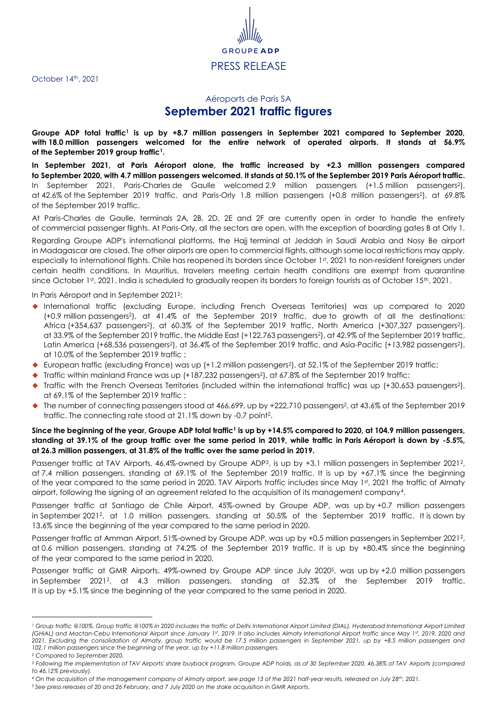October 14<sup>th</sup>, 2021

## GRO PRESS RELEASE

## <span id="page-0-0"></span>Aéroports de Paris SA **September 2021 traffic figures**

**Groupe ADP total traffic<sup>1</sup> is up by +8.7 million passengers in September 2021 compared to September 2020, with 18.0 million passengers welcomed for the entire network of operated airports. It stands at 56.9% of the September 2019 group traffi[c](#page-0-0)<sup>1</sup> .**

**In September 2021, at Paris Aéroport alone, the traffic increased by +2.3 million passengers compared to September 2020, with 4.7 million passengers welcomed. It stands at 50.1% of the September 2019 Paris Aéroport traffic.** In September 2021, Paris-Charles de Gaulle welcomed 2.9 million passengers (+1.5 million passengers[2](#page-0-1) ), at 42.6% of the September 2019 traffic, and Paris-Orly 1.8 million passengers (+0.8 million passenger[s](#page-0-1)<sup>2</sup> ), at 69.8% of the September 2019 traffic.

At Paris-Charles de Gaulle, terminals 2A, 2B, 2D, 2E and 2F are currently open in order to handle the entirety of commercial passenger flights. At Paris-Orly, all the sectors are open, with the exception of boarding gates B at Orly 1.

Regarding Groupe ADP's international platforms, the Hajj terminal at Jeddah in Saudi Arabia and Nosy Be airport in Madagascar are closed. The other airports are open to commercial flights, although some local restrictions may apply, especially to international flights. Chile has reopened its borders since October 1st, 2021 to non-resident foreigners under certain health conditions. In Mauritius, travelers meeting certain health conditions are exempt from quarantine since October 1st, 2021. India is scheduled to gradually reopen its borders to foreign tourists as of October 15<sup>th</sup>, 2021.

<span id="page-0-1"></span>In Paris Aéroport and in September 2021<sup>2</sup>:

- International traffic (excluding Europe, including French Overseas Territories) was up compared to 2020 (+0.9 million passenger[s](#page-0-1)<sup>2</sup> ), at 41.4% of the September 2019 traffic, due to growth of all the destinations: Africa (+354,637 passengers<sup>2</sup>[\)](#page-0-1), at 60.3% of the September [2](#page-0-1)019 traffic, North America (+307,327 passengers<sup>2</sup>), at 33.9% of the September 2019 traffic, the Middle Ea[s](#page-0-1)t (+122,763 passengers<sup>2</sup>), at 42.9% of the September 2019 traffic, Latin America (+68,536 pa[s](#page-0-1)sengers<sup>[2](#page-0-1)</sup>), at 36.4% of the September 2019 traffic, and Asia-Pacific (+13,982 passengers<sup>2</sup>), at 10.0% of the September 2019 traffic ;
- ◆ European traffic (excluding France) wa[s](#page-0-1) up (+1.2 million passengers<sup>2</sup>), at 52.1% of the September 2019 traffic;
- ◆ Traffic within mainland France wa[s](#page-0-1) up (+187,232 passengers<sup>2</sup>), at 67.8% of the September 2019 traffic;
- ◆ Traffic with the French Overseas Territories (included within the international traffic) was up (+30,653 passengers<sup>[2](#page-0-1)</sup>), at 69.1% of the September 2019 traffic ;
- $\blacklozenge$  The number of connecting passengers stood at 466,699[,](#page-0-1) up by +222,710 passengers<sup>2</sup>, at 43.6% of the September 2019 [t](#page-0-1)raffic. The connecting rate stood at 21.1% down by -0.7 point<sup>2</sup>.

## **Since the beginning of the year, Groupe ADP total traffi[c](#page-0-0)<sup>1</sup> is up by +14.5% compared to 2020, at 104.9 million passengers, standing at 39.1% of the group traffic over the same period in 2019, while traffic in Paris Aéroport is down by -5.5%, at 26.3 million passengers, at 31.8% of the traffic over the same period in 2019.**

Passenger traffic at TAV Airports, 46.4%-owned by Groupe ADP<sup>3</sup>, is up by +3.[1](#page-0-1) million passengers in September 2021<sup>2</sup>, at 7.4 million passengers, standing at 69.1% of the September 2019 traffic. It is up by +67.1% since the beginning of the year compared to the same period in 2020. TAV Airports traffic includes since May 1st, 2021 the traffic of Almaty airport, following the signing of an agreement related to the acquisition of its management company<sup>4</sup> .

Passenger traffic at Santiago de Chile Airport, 45%-owned by Groupe ADP, was up by +0.7 million passengers in September 2021<sup>2</sup> [,](#page-0-1) at 1.0 million passengers, standing at 50.5% of the September 2019 traffic. It is down by 13.6% since the beginning of the year compared to the same period in 2020.

Passenger traffic at Amman Airport, 51%-owned by Groupe ADP, was up by +0.5 million passengers in September 202[1](#page-0-1)<sup>2</sup> , at 0.6 million passengers, standing at 74.2% of the September 2019 traffic. It is up by +80.4% since the beginning of the year compared to the same period in 2020.

Passenger traffic at GMR Airports, 49%-owned by Groupe ADP since July 2020<sup>5</sup> , was up by +2.0 million passengers in September 202[1](#page-0-1)<sup>2</sup> , at 4.3 million passengers, standing at 52.3% of the September 2019 traffic. It is up by +5.1% since the beginning of the year compared to the same period in 2020.

 $\overline{\phantom{a}}$ 

*<sup>5</sup> See press releases of 20 and 26 February, and 7 July 2020 on the stake acquisition in GMR Airports.*

*<sup>1</sup> Group traffic @100%. Group traffic @100% in 2020 includes the traffic of Delhi International Airport Limited (DIAL), Hyderabad International Airport Limited (GHIAL) and Mactan-Cebu International Airport since January 1st, 2019. It also includes Almaty International Airport traffic since May 1st, 2019, 2020 and 2021. Excluding the consolidation of Almaty, group traffic would be 17.5 million passengers in September 2021, up by +8.5 million passengers and 102.1 million passengers since the beginning of the year, up by +11.8 million passengers.*

*<sup>2</sup> Compared to September 2020.*

*<sup>3</sup> Following the implementation of TAV Airports' share buyback program, Groupe ADP holds, as of 30 September 2020, 46.38% of TAV Airports (compared to 46.12% previously).*

*<sup>4</sup> On the acquisition of the management company of Almaty airport, see page 13 of the 2021 half-year results, released on July 28th, 2021.*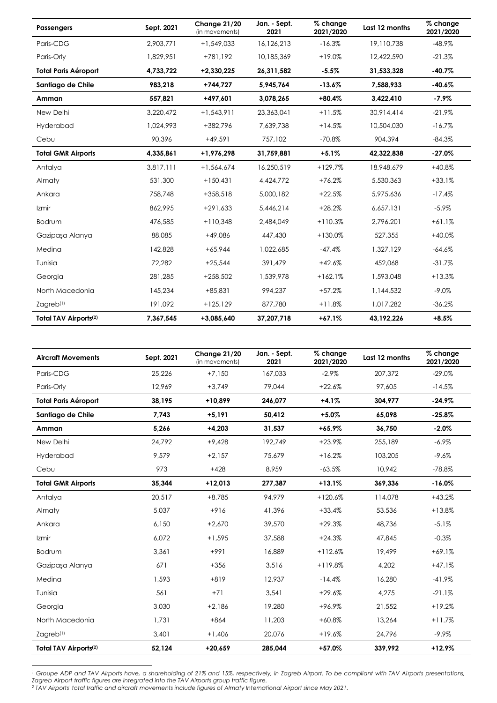| <b>Passengers</b>                 | Sept. 2021 | Change 21/20<br>(in movements) | Jan. - Sept.<br>2021 | % change<br>2021/2020 | Last 12 months | % change<br>2021/2020 |
|-----------------------------------|------------|--------------------------------|----------------------|-----------------------|----------------|-----------------------|
| Paris-CDG                         | 2,903,771  | $+1,549,033$                   | 16,126,213           | $-16.3%$              | 19,110,738     | $-48.9%$              |
| Paris-Orly                        | 1,829,951  | +781,192                       | 10,185,369           | $+19.0%$              | 12,422,590     | $-21.3%$              |
| <b>Total Paris Aéroport</b>       | 4,733,722  | +2,330,225                     | 26,311,582           | $-5.5%$               | 31,533,328     | $-40.7%$              |
| Santiago de Chile                 | 983,218    | $+744,727$                     | 5,945,764            | $-13.6%$              | 7,588,933      | $-40.6%$              |
| Amman                             | 557,821    | +497,601                       | 3,078,265            | $+80.4%$              | 3,422,410      | $-7.9\%$              |
| New Delhi                         | 3,220,472  | $+1,543,911$                   | 23,363,041           | $+11.5%$              | 30,914,414     | $-21.9%$              |
| Hyderabad                         | 1,024,993  | +382,796                       | 7,639,738            | $+14.5%$              | 10,504,030     | $-16.7%$              |
| Cebu                              | 90,396     | $+49,591$                      | 757,102              | $-70.8%$              | 904,394        | $-84.3%$              |
| <b>Total GMR Airports</b>         | 4,335,861  | +1,976,298                     | 31,759,881           | $+5.1%$               | 42,322,838     | $-27.0%$              |
| Antalya                           | 3,817,111  | $+1,564,674$                   | 16,250,519           | $+129.7%$             | 18,948,679     | $+40.8%$              |
| Almaty                            | 531,300    | $+150,431$                     | 4,424,772            | $+76.2%$              | 5,530,363      | $+33.1%$              |
| Ankara                            | 758,748    | $+358.518$                     | 5,000,182            | $+22.5%$              | 5,975,636      | $-17.4%$              |
| Izmir                             | 862,995    | $+291,633$                     | 5,446,214            | $+28.2%$              | 6,657,131      | $-5.9\%$              |
| Bodrum                            | 476,585    | $+110,348$                     | 2,484,049            | $+110.3%$             | 2,796,201      | $+61.1%$              |
| Gazipaşa Alanya                   | 88,085     | $+49,086$                      | 447,430              | $+130.0%$             | 527,355        | $+40.0%$              |
| Medina                            | 142,828    | $+65,944$                      | 1,022,685            | $-47.4%$              | 1,327,129      | $-64.6%$              |
| Tunisia                           | 72,282     | $+25,544$                      | 391,479              | $+42.6%$              | 452,068        | $-31.7%$              |
| Georgia                           | 281,285    | $+258,502$                     | 1,539,978            | $+162.1%$             | 1,593,048      | $+13.3%$              |
| North Macedonia                   | 145,234    | $+85.831$                      | 994,237              | $+57.2%$              | 1,144,532      | $-9.0\%$              |
| $Z$ agreb $(1)$                   | 191,092    | $+125,129$                     | 877,780              | $+11.8%$              | 1,017,282      | $-36.2%$              |
| Total TAV Airports <sup>(2)</sup> | 7,367,545  | +3,085,640                     | 37,207,718           | $+67.1%$              | 43,192,226     | $+8.5%$               |

| <b>Aircraft Movements</b>         | Sept. 2021 | Change 21/20<br>(in movements) | Jan. - Sept.<br>2021 | % change<br>2021/2020 | Last 12 months | % change<br>2021/2020 |
|-----------------------------------|------------|--------------------------------|----------------------|-----------------------|----------------|-----------------------|
| Paris-CDG                         | 25.226     | $+7.150$                       | 167.033              | $-2.9\%$              | 207.372        | $-29.0%$              |
| Paris-Orly                        | 12,969     | $+3,749$                       | 79,044               | $+22.6%$              | 97,605         | $-14.5%$              |
| <b>Total Paris Aéroport</b>       | 38,195     | $+10,899$                      | 246,077              | $+4.1%$               | 304,977        | $-24.9%$              |
| Santiago de Chile                 | 7.743      | $+5,191$                       | 50.412               | $+5.0%$               | 65.098         | $-25.8%$              |
| Amman                             | 5,266      | $+4,203$                       | 31,537               | $+65.9%$              | 36,750         | $-2.0%$               |
| New Delhi                         | 24.792     | $+9.428$                       | 192.749              | $+23.9%$              | 255,189        | $-6.9\%$              |
| Hyderabad                         | 9.579      | $+2,157$                       | 75,679               | $+16.2%$              | 103,205        | $-9.6%$               |
| Cebu                              | 973        | $+428$                         | 8,959                | $-63.5%$              | 10,942         | $-78.8%$              |
| <b>Total GMR Airports</b>         | 35,344     | $+12,013$                      | 277,387              | $+13.1%$              | 369,336        | $-16.0%$              |
| Antalya                           | 20,517     | $+8,785$                       | 94,979               | $+120.6%$             | 114,078        | $+43.2%$              |
| Almaty                            | 5,037      | $+916$                         | 41,396               | $+33.4%$              | 53,536         | $+13.8%$              |
| Ankara                            | 6,150      | $+2,670$                       | 39,570               | $+29.3%$              | 48,736         | $-5.1%$               |
| Izmir                             | 6,072      | $+1,595$                       | 37,588               | $+24.3%$              | 47,845         | $-0.3%$               |
| Bodrum                            | 3,361      | $+991$                         | 16,889               | $+112.6%$             | 19,499         | $+69.1%$              |
| Gazipaşa Alanya                   | 671        | $+356$                         | 3,516                | $+119.8%$             | 4,202          | $+47.1%$              |
| Medina                            | 1,593      | $+819$                         | 12,937               | $-14.4%$              | 16,280         | $-41.9%$              |
| Tunisia                           | 561        | $+71$                          | 3,541                | $+29.6%$              | 4,275          | $-21.1%$              |
| Georgia                           | 3,030      | $+2,186$                       | 19,280               | +96.9%                | 21,552         | $+19.2%$              |
| North Macedonia                   | 1,731      | $+864$                         | 11,203               | $+60.8%$              | 13,264         | $+11.7%$              |
| Zagreb <sup>(1)</sup>             | 3,401      | $+1,406$                       | 20,076               | $+19.6%$              | 24,796         | $-9.9\%$              |
| Total TAV Airports <sup>(2)</sup> | 52,124     | $+20,659$                      | 285,044              | $+57.0%$              | 339,992        | $+12.9%$              |

**.** *<sup>1</sup> Groupe ADP and TAV Airports have, a shareholding of 21% and 15%, respectively, in Zagreb Airport. To be compliant with TAV Airports presentations,* 

*Zagreb Airport traffic figures are integrated into the TAV Airports group traffic figure.*

*<sup>2</sup> TAV Airports' total traffic and aircraft movements include figures of Almaty International Airport since May 2021.*